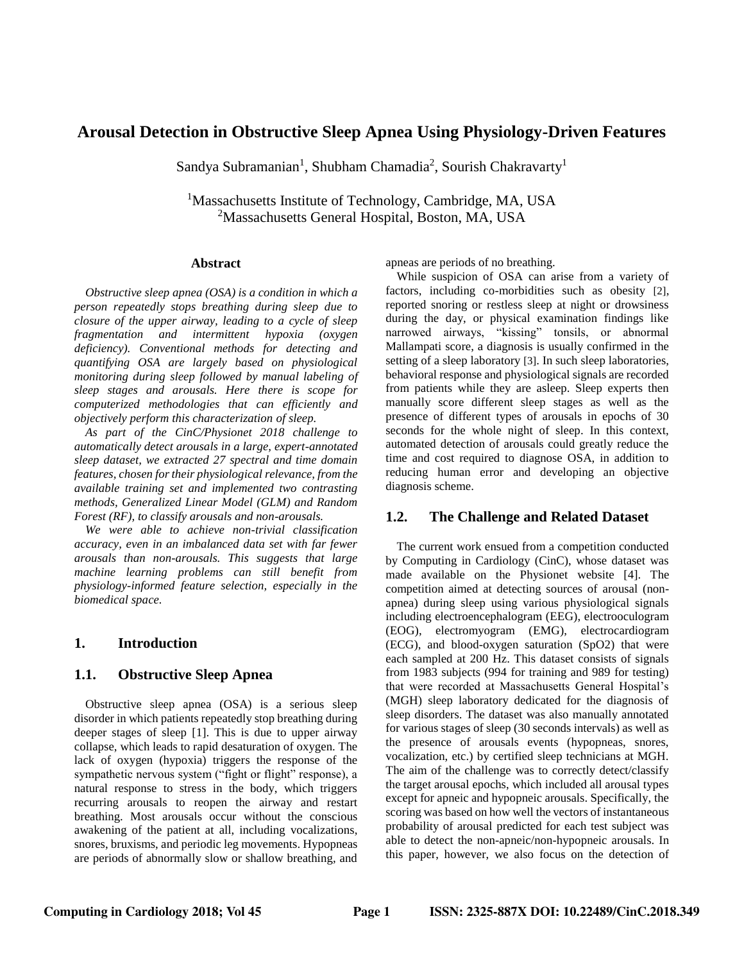# **Arousal Detection in Obstructive Sleep Apnea Using Physiology-Driven Features**

Sandya Subramanian<sup>1</sup>, Shubham Chamadia<sup>2</sup>, Sourish Chakravarty<sup>1</sup>

<sup>1</sup>Massachusetts Institute of Technology, Cambridge, MA, USA <sup>2</sup>Massachusetts General Hospital, Boston, MA, USA

#### **Abstract**

*Obstructive sleep apnea (OSA) is a condition in which a person repeatedly stops breathing during sleep due to closure of the upper airway, leading to a cycle of sleep fragmentation and intermittent hypoxia (oxygen deficiency). Conventional methods for detecting and quantifying OSA are largely based on physiological monitoring during sleep followed by manual labeling of sleep stages and arousals. Here there is scope for computerized methodologies that can efficiently and objectively perform this characterization of sleep.* 

*As part of the CinC/Physionet 2018 challenge to automatically detect arousals in a large, expert-annotated sleep dataset, we extracted 27 spectral and time domain features, chosen for their physiological relevance, from the available training set and implemented two contrasting methods, Generalized Linear Model (GLM) and Random Forest (RF), to classify arousals and non-arousals.* 

*We were able to achieve non-trivial classification accuracy, even in an imbalanced data set with far fewer arousals than non-arousals. This suggests that large machine learning problems can still benefit from physiology-informed feature selection, especially in the biomedical space.* 

## **1. Introduction**

## **1.1. Obstructive Sleep Apnea**

Obstructive sleep apnea (OSA) is a serious sleep disorder in which patients repeatedly stop breathing during deeper stages of sleep [1]. This is due to upper airway collapse, which leads to rapid desaturation of oxygen. The lack of oxygen (hypoxia) triggers the response of the sympathetic nervous system ("fight or flight" response), a natural response to stress in the body, which triggers recurring arousals to reopen the airway and restart breathing. Most arousals occur without the conscious awakening of the patient at all, including vocalizations, snores, bruxisms, and periodic leg movements. Hypopneas are periods of abnormally slow or shallow breathing, and apneas are periods of no breathing.

While suspicion of OSA can arise from a variety of factors, including co-morbidities such as obesity [2], reported snoring or restless sleep at night or drowsiness during the day, or physical examination findings like narrowed airways, "kissing" tonsils, or abnormal Mallampati score, a diagnosis is usually confirmed in the setting of a sleep laboratory [3]. In such sleep laboratories, behavioral response and physiological signals are recorded from patients while they are asleep. Sleep experts then manually score different sleep stages as well as the presence of different types of arousals in epochs of 30 seconds for the whole night of sleep. In this context, automated detection of arousals could greatly reduce the time and cost required to diagnose OSA, in addition to reducing human error and developing an objective diagnosis scheme.

### **1.2. The Challenge and Related Dataset**

The current work ensued from a competition conducted by Computing in Cardiology (CinC), whose dataset was made available on the Physionet website [4]. The competition aimed at detecting sources of arousal (nonapnea) during sleep using various physiological signals including electroencephalogram (EEG), electrooculogram (EOG), electromyogram (EMG), electrocardiogram (ECG), and blood-oxygen saturation (SpO2) that were each sampled at 200 Hz. This dataset consists of signals from 1983 subjects (994 for training and 989 for testing) that were recorded at Massachusetts General Hospital's (MGH) sleep laboratory dedicated for the diagnosis of sleep disorders. The dataset was also manually annotated for various stages of sleep (30 seconds intervals) as well as the presence of arousals events (hypopneas, snores, vocalization, etc.) by certified sleep technicians at MGH. The aim of the challenge was to correctly detect/classify the target arousal epochs, which included all arousal types except for apneic and hypopneic arousals. Specifically, the scoring was based on how well the vectors of instantaneous probability of arousal predicted for each test subject was able to detect the non-apneic/non-hypopneic arousals. In this paper, however, we also focus on the detection of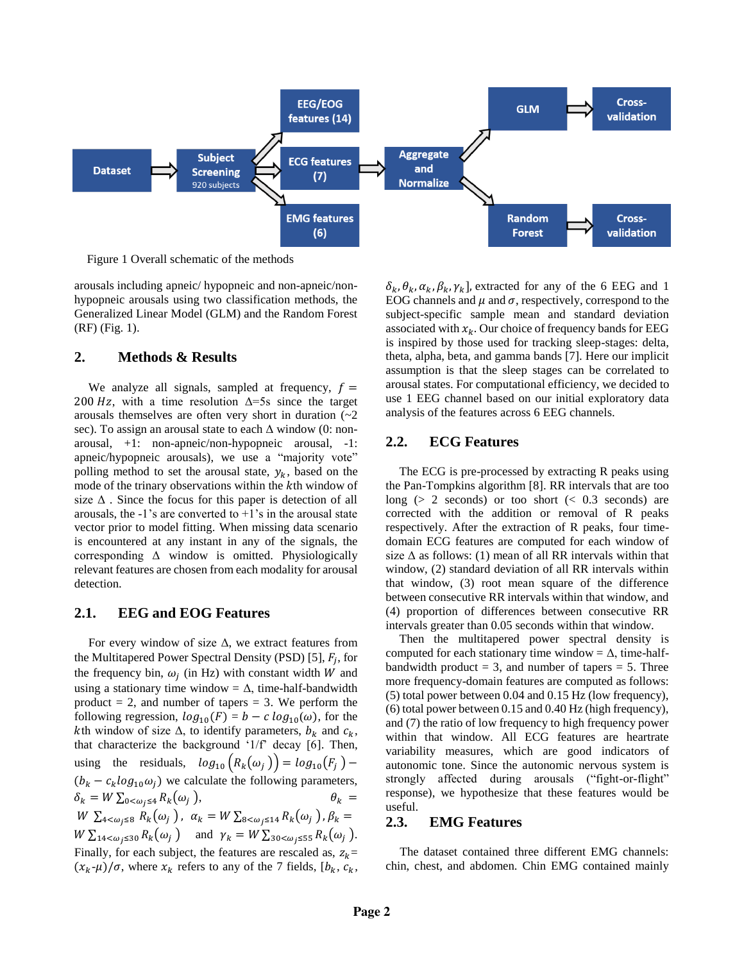

Figure 1 Overall schematic of the methods

arousals including apneic/ hypopneic and non-apneic/nonhypopneic arousals using two classification methods, the Generalized Linear Model (GLM) and the Random Forest (RF) (Fig. 1).

#### **2. Methods & Results**

We analyze all signals, sampled at frequency,  $f =$ 200 Hz, with a time resolution  $\Delta = 5s$  since the target arousals themselves are often very short in duration  $\sim 2$ sec). To assign an arousal state to each Δ window (0: nonarousal, +1: non-apneic/non-hypopneic arousal, -1: apneic/hypopneic arousals), we use a "majority vote" polling method to set the arousal state,  $y_k$ , based on the mode of the trinary observations within the kth window of size  $\Delta$ . Since the focus for this paper is detection of all arousals, the  $-1$ 's are converted to  $+1$ 's in the arousal state vector prior to model fitting. When missing data scenario is encountered at any instant in any of the signals, the corresponding Δ window is omitted. Physiologically relevant features are chosen from each modality for arousal detection.

## **2.1. EEG and EOG Features**

For every window of size  $\Delta$ , we extract features from the Multitapered Power Spectral Density (PSD) [5],  $F_j$ , for the frequency bin,  $\omega_j$  (in Hz) with constant width W and using a stationary time window =  $\Delta$ , time-half-bandwidth product  $= 2$ , and number of tapers  $= 3$ . We perform the following regression,  $log_{10}(F) = b - c log_{10}(\omega)$ , for the kth window of size  $\Delta$ , to identify parameters,  $b_k$  and  $c_k$ , that characterize the background '1/f' decay [6]. Then, using the residuals,  $log_{10} (R_k(\omega_j)) = log_{10}(F_j)$  –  $(b_k - c_k \log_{10} \omega_i)$  we calculate the following parameters,  $\delta_k = W \sum_{0 \le \omega_j \le 4} R_k(\omega_j)$  $\theta_k$  =  $W \sum_{4 < \omega_j \leq 8} R_k(\omega_j)$ ,  $\alpha_k = W \sum_{8 < \omega_j \leq 14} R_k(\omega_j)$ ,  $\beta_k =$  $W \sum_{14 < \omega_j \leq 30} R_k(\omega_j)$  and  $\gamma_k = W \sum_{30 < \omega_j \leq 55} R_k(\omega_j)$ . Finally, for each subject, the features are rescaled as,  $z_k$ =  $(x_k - \mu)/\sigma$ , where  $x_k$  refers to any of the 7 fields,  $[b_k, c_k,$ 

 $\delta_k$ ,  $\theta_k$ ,  $\alpha_k$ ,  $\beta_k$ ,  $\gamma_k$ ], extracted for any of the 6 EEG and 1 EOG channels and  $\mu$  and  $\sigma$ , respectively, correspond to the subject-specific sample mean and standard deviation associated with  $x_k$ . Our choice of frequency bands for EEG is inspired by those used for tracking sleep-stages: delta, theta, alpha, beta, and gamma bands [7]. Here our implicit assumption is that the sleep stages can be correlated to arousal states. For computational efficiency, we decided to use 1 EEG channel based on our initial exploratory data analysis of the features across 6 EEG channels.

## **2.2. ECG Features**

The ECG is pre-processed by extracting R peaks using the Pan-Tompkins algorithm [8]. RR intervals that are too long ( $> 2$  seconds) or too short ( $< 0.3$  seconds) are corrected with the addition or removal of R peaks respectively. After the extraction of R peaks, four timedomain ECG features are computed for each window of size  $\Delta$  as follows: (1) mean of all RR intervals within that window, (2) standard deviation of all RR intervals within that window, (3) root mean square of the difference between consecutive RR intervals within that window, and (4) proportion of differences between consecutive RR intervals greater than 0.05 seconds within that window.

Then the multitapered power spectral density is computed for each stationary time window =  $\Delta$ , time-halfbandwidth product  $= 3$ , and number of tapers  $= 5$ . Three more frequency-domain features are computed as follows: (5) total power between 0.04 and 0.15 Hz (low frequency), (6) total power between 0.15 and 0.40 Hz (high frequency), and (7) the ratio of low frequency to high frequency power within that window. All ECG features are heartrate variability measures, which are good indicators of autonomic tone. Since the autonomic nervous system is strongly affected during arousals ("fight-or-flight" response), we hypothesize that these features would be useful.

#### **2.3. EMG Features**

The dataset contained three different EMG channels: chin, chest, and abdomen. Chin EMG contained mainly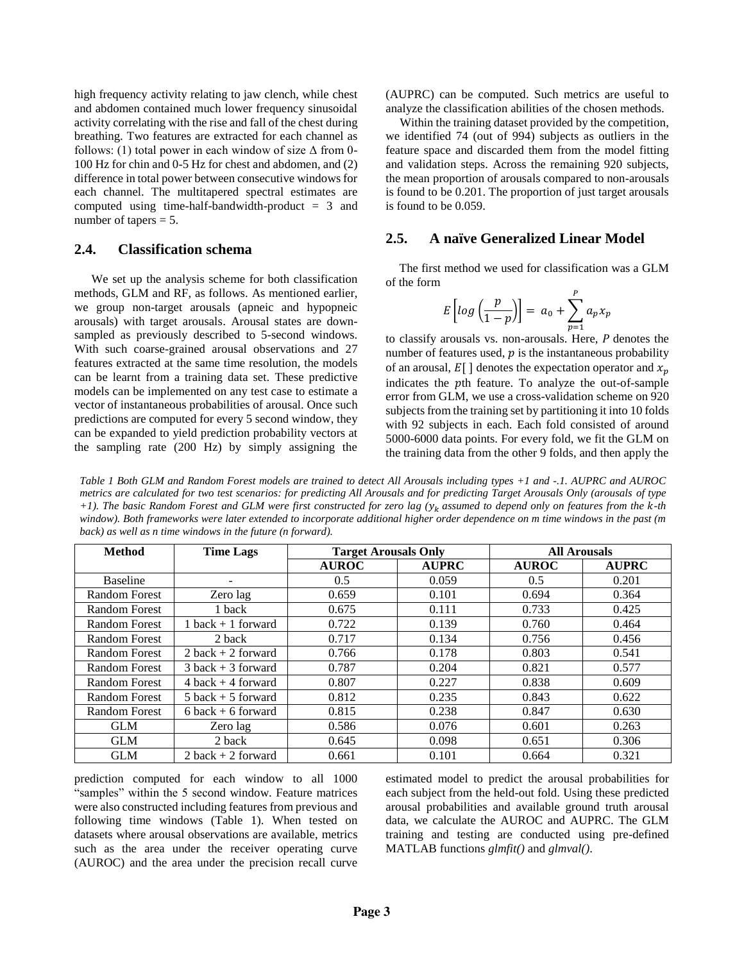high frequency activity relating to jaw clench, while chest and abdomen contained much lower frequency sinusoidal activity correlating with the rise and fall of the chest during breathing. Two features are extracted for each channel as follows: (1) total power in each window of size  $\Delta$  from 0-100 Hz for chin and 0-5 Hz for chest and abdomen, and (2) difference in total power between consecutive windows for each channel. The multitapered spectral estimates are computed using time-half-bandwidth-product  $= 3$  and number of tapers = 5.

#### **2.4. Classification schema**

We set up the analysis scheme for both classification methods, GLM and RF, as follows. As mentioned earlier, we group non-target arousals (apneic and hypopneic arousals) with target arousals. Arousal states are downsampled as previously described to 5-second windows. With such coarse-grained arousal observations and 27 features extracted at the same time resolution, the models can be learnt from a training data set. These predictive models can be implemented on any test case to estimate a vector of instantaneous probabilities of arousal. Once such predictions are computed for every 5 second window, they can be expanded to yield prediction probability vectors at the sampling rate (200 Hz) by simply assigning the

(AUPRC) can be computed. Such metrics are useful to analyze the classification abilities of the chosen methods.

Within the training dataset provided by the competition, we identified 74 (out of 994) subjects as outliers in the feature space and discarded them from the model fitting and validation steps. Across the remaining 920 subjects, the mean proportion of arousals compared to non-arousals is found to be 0.201. The proportion of just target arousals is found to be 0.059.

#### **2.5. A naïve Generalized Linear Model**

The first method we used for classification was a GLM of the form

$$
E\left[log\left(\frac{p}{1-p}\right)\right] = a_0 + \sum_{p=1}^p a_p x_p
$$

to classify arousals vs. non-arousals. Here,  $P$  denotes the number of features used,  $p$  is the instantaneous probability of an arousal,  $E[\ ]$  denotes the expectation operator and  $x_n$ indicates the pth feature. To analyze the out-of-sample error from GLM, we use a cross-validation scheme on 920 subjects from the training set by partitioning it into 10 folds with 92 subjects in each. Each fold consisted of around 5000-6000 data points. For every fold, we fit the GLM on the training data from the other 9 folds, and then apply the

*Table 1 Both GLM and Random Forest models are trained to detect All Arousals including types +1 and -.1. AUPRC and AUROC metrics are calculated for two test scenarios: for predicting All Arousals and for predicting Target Arousals Only (arousals of type +1). The basic Random Forest and GLM were first constructed for zero lag (* $y_k$  *assumed to depend only on features from the k-th window). Both frameworks were later extended to incorporate additional higher order dependence on m time windows in the past (m back) as well as n time windows in the future (n forward).*

| <b>Method</b>        | <b>Time Lags</b>      | <b>Target Arousals Only</b> |              | <b>All Arousals</b> |              |
|----------------------|-----------------------|-----------------------------|--------------|---------------------|--------------|
|                      |                       | <b>AUROC</b>                | <b>AUPRC</b> | <b>AUROC</b>        | <b>AUPRC</b> |
| <b>Baseline</b>      |                       | 0.5                         | 0.059        | 0.5                 | 0.201        |
| <b>Random Forest</b> | Zero lag              | 0.659                       | 0.101        | 0.694               | 0.364        |
| <b>Random Forest</b> | 1 back                | 0.675                       | 0.111        | 0.733               | 0.425        |
| <b>Random Forest</b> | $1$ back $+1$ forward | 0.722                       | 0.139        | 0.760               | 0.464        |
| <b>Random Forest</b> | 2 back                | 0.717                       | 0.134        | 0.756               | 0.456        |
| Random Forest        | $2$ back $+2$ forward | 0.766                       | 0.178        | 0.803               | 0.541        |
| Random Forest        | $3$ back $+3$ forward | 0.787                       | 0.204        | 0.821               | 0.577        |
| <b>Random Forest</b> | $4$ back $+4$ forward | 0.807                       | 0.227        | 0.838               | 0.609        |
| <b>Random Forest</b> | $5$ back $+5$ forward | 0.812                       | 0.235        | 0.843               | 0.622        |
| <b>Random Forest</b> | $6$ back + 6 forward  | 0.815                       | 0.238        | 0.847               | 0.630        |
| <b>GLM</b>           | Zero lag              | 0.586                       | 0.076        | 0.601               | 0.263        |
| <b>GLM</b>           | 2 back                | 0.645                       | 0.098        | 0.651               | 0.306        |
| <b>GLM</b>           | $2$ back $+2$ forward | 0.661                       | 0.101        | 0.664               | 0.321        |

prediction computed for each window to all 1000 "samples" within the 5 second window. Feature matrices were also constructed including features from previous and following time windows (Table 1). When tested on datasets where arousal observations are available, metrics such as the area under the receiver operating curve (AUROC) and the area under the precision recall curve

estimated model to predict the arousal probabilities for each subject from the held-out fold. Using these predicted arousal probabilities and available ground truth arousal data, we calculate the AUROC and AUPRC. The GLM training and testing are conducted using pre-defined MATLAB functions *glmfit()* and *glmval()*.